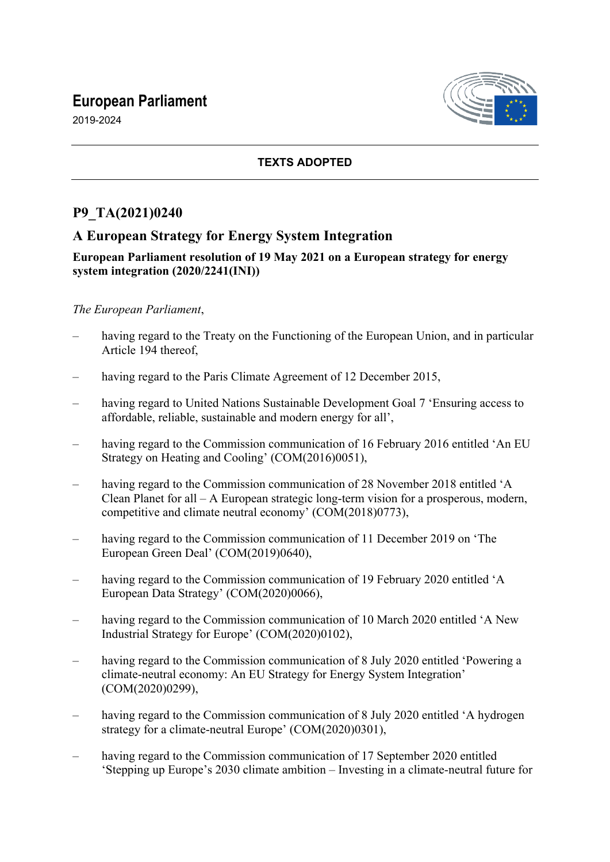# **European Parliament**





## **TEXTS ADOPTED**

## **P9\_TA(2021)0240**

## **A European Strategy for Energy System Integration**

### **European Parliament resolution of 19 May 2021 on a European strategy for energy system integration (2020/2241(INI))**

### *The European Parliament*,

- having regard to the Treaty on the Functioning of the European Union, and in particular Article 194 thereof,
- having regard to the Paris Climate Agreement of 12 December 2015,
- having regard to United Nations Sustainable Development Goal 7 'Ensuring access to affordable, reliable, sustainable and modern energy for all',
- having regard to the Commission communication of 16 February 2016 entitled 'An EU Strategy on Heating and Cooling' (COM(2016)0051),
- having regard to the Commission communication of 28 November 2018 entitled 'A Clean Planet for all – A European strategic long-term vision for a prosperous, modern, competitive and climate neutral economy' (COM(2018)0773),
- having regard to the Commission communication of 11 December 2019 on 'The European Green Deal' (COM(2019)0640),
- having regard to the Commission communication of 19 February 2020 entitled 'A European Data Strategy' (COM(2020)0066),
- having regard to the Commission communication of 10 March 2020 entitled 'A New Industrial Strategy for Europe' (COM(2020)0102),
- having regard to the Commission communication of 8 July 2020 entitled 'Powering a climate-neutral economy: An EU Strategy for Energy System Integration' (COM(2020)0299),
- having regard to the Commission communication of 8 July 2020 entitled 'A hydrogen strategy for a climate-neutral Europe' (COM(2020)0301),
- having regard to the Commission communication of 17 September 2020 entitled 'Stepping up Europe's 2030 climate ambition – Investing in a climate-neutral future for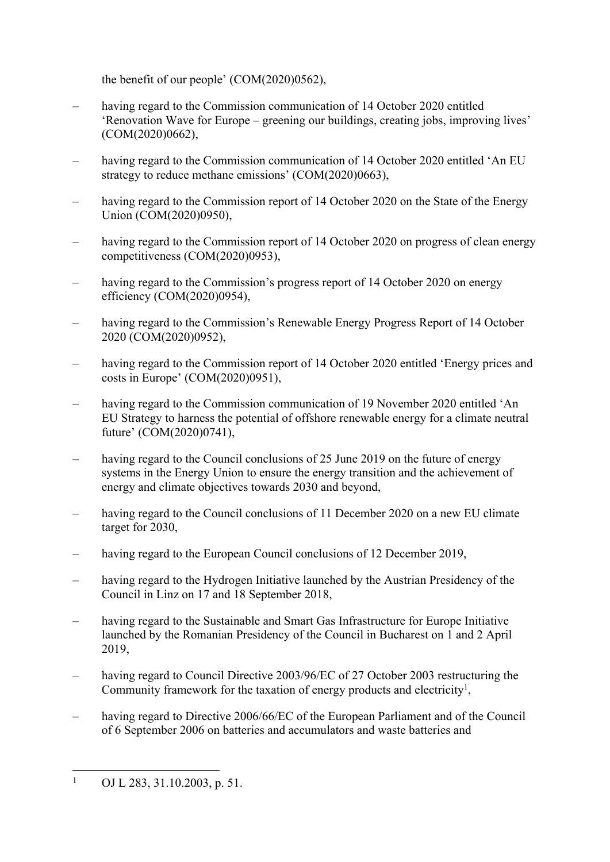the benefit of our people' (COM(2020)0562),

- having regard to the Commission communication of 14 October 2020 entitled 'Renovation Wave for Europe – greening our buildings, creating jobs, improving lives' (COM(2020)0662),
- having regard to the Commission communication of 14 October 2020 entitled 'An EU strategy to reduce methane emissions' (COM(2020)0663),
- having regard to the Commission report of 14 October 2020 on the State of the Energy Union (COM(2020)0950),
- having regard to the Commission report of 14 October 2020 on progress of clean energy competitiveness (COM(2020)0953),
- having regard to the Commission's progress report of 14 October 2020 on energy efficiency (COM(2020)0954),
- having regard to the Commission's Renewable Energy Progress Report of 14 October 2020 (COM(2020)0952),
- having regard to the Commission report of 14 October 2020 entitled 'Energy prices and costs in Europe' (COM(2020)0951),
- having regard to the Commission communication of 19 November 2020 entitled 'An EU Strategy to harness the potential of offshore renewable energy for a climate neutral future' (COM(2020)0741),
- having regard to the Council conclusions of 25 June 2019 on the future of energy systems in the Energy Union to ensure the energy transition and the achievement of energy and climate objectives towards 2030 and beyond,
- having regard to the Council conclusions of 11 December 2020 on a new EU climate target for 2030,
- having regard to the European Council conclusions of 12 December 2019,
- having regard to the Hydrogen Initiative launched by the Austrian Presidency of the Council in Linz on 17 and 18 September 2018,
- having regard to the Sustainable and Smart Gas Infrastructure for Europe Initiative launched by the Romanian Presidency of the Council in Bucharest on 1 and 2 April 2019,
- having regard to Council Directive 2003/96/EC of 27 October 2003 restructuring the Community framework for the taxation of energy products and electricity<sup>1</sup>,
- having regard to Directive 2006/66/EC of the European Parliament and of the Council of 6 September 2006 on batteries and accumulators and waste batteries and

<sup>1</sup> OJ L 283, 31.10.2003, p. 51.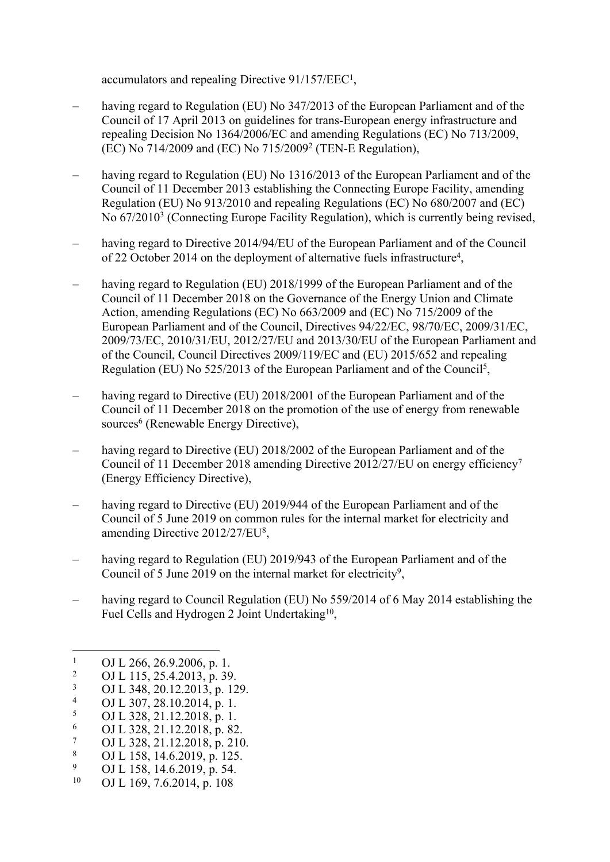accumulators and repealing Directive 91/157/EEC<sup>1</sup>,

- having regard to Regulation (EU) No 347/2013 of the European Parliament and of the Council of 17 April 2013 on guidelines for trans-European energy infrastructure and repealing Decision No 1364/2006/EC and amending Regulations (EC) No 713/2009, (EC) No 714/2009 and (EC) No 715/2009<sup>2</sup> (TEN-E Regulation),
- having regard to Regulation (EU) No 1316/2013 of the European Parliament and of the Council of 11 December 2013 establishing the Connecting Europe Facility, amending Regulation (EU) No 913/2010 and repealing Regulations (EC) No 680/2007 and (EC) No 67/2010<sup>3</sup> (Connecting Europe Facility Regulation), which is currently being revised,
- having regard to Directive 2014/94/EU of the European Parliament and of the Council of 22 October 2014 on the deployment of alternative fuels infrastructure<sup>4</sup>,
- having regard to Regulation (EU) 2018/1999 of the European Parliament and of the Council of 11 December 2018 on the Governance of the Energy Union and Climate Action, amending Regulations (EC) No 663/2009 and (EC) No 715/2009 of the European Parliament and of the Council, Directives 94/22/EC, 98/70/EC, 2009/31/EC, 2009/73/EC, 2010/31/EU, 2012/27/EU and 2013/30/EU of the European Parliament and of the Council, Council Directives 2009/119/EC and (EU) 2015/652 and repealing Regulation (EU) No 525/2013 of the European Parliament and of the Council<sup>5</sup>,
- having regard to Directive (EU) 2018/2001 of the European Parliament and of the Council of 11 December 2018 on the promotion of the use of energy from renewable sources<sup>6</sup> (Renewable Energy Directive),
- having regard to Directive (EU) 2018/2002 of the European Parliament and of the Council of 11 December 2018 amending Directive 2012/27/EU on energy efficiency<sup>7</sup> (Energy Efficiency Directive),
- having regard to Directive (EU) 2019/944 of the European Parliament and of the Council of 5 June 2019 on common rules for the internal market for electricity and amending Directive 2012/27/EU<sup>8</sup>,
- having regard to Regulation (EU) 2019/943 of the European Parliament and of the Council of 5 June 2019 on the internal market for electricity<sup>9</sup>,
- having regard to Council Regulation (EU) No 559/2014 of 6 May 2014 establishing the Fuel Cells and Hydrogen 2 Joint Undertaking<sup>10</sup>,

5 OJ L 328, 21.12.2018, p. 1.

- 7 OJ L 328, 21.12.2018, p. 210.
- 8 OJ L 158, 14.6.2019, p. 125.
- 9 <sup>9</sup> OJ L 158, 14.6.2019, p. 54.
- OJ L 169, 7.6.2014, p. 108

<sup>1</sup> OJ L 266, 26.9.2006, p. 1.

 $\overline{2}$ OJ L 115, 25.4.2013, p. 39.

<sup>3</sup> OJ L 348, 20.12.2013, p. 129.

<sup>4</sup> OJ L 307, 28.10.2014, p. 1.

<sup>6</sup> OJ L 328, 21.12.2018, p. 82.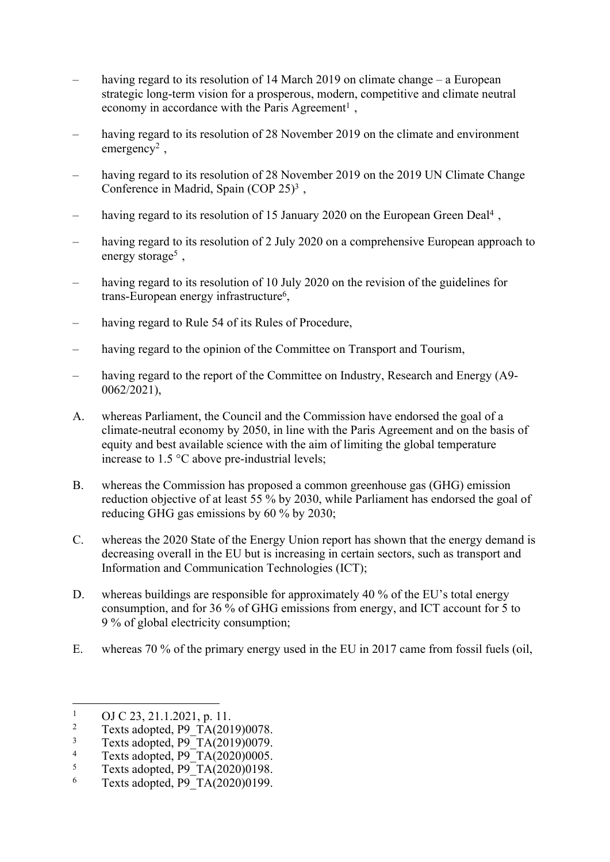- having regard to its resolution of 14 March 2019 on climate change a European strategic long-term vision for a prosperous, modern, competitive and climate neutral economy in accordance with the Paris Agreement<sup>1</sup>,
- having regard to its resolution of 28 November 2019 on the climate and environment emergency<sup>2</sup>,
- having regard to its resolution of 28 November 2019 on the 2019 UN Climate Change Conference in Madrid, Spain (COP 25)<sup>3</sup>,
- having regard to its resolution of 15 January 2020 on the European Green Deal<sup>4</sup>,
- having regard to its resolution of 2 July 2020 on a comprehensive European approach to energy storage<sup>5</sup>,
- having regard to its resolution of 10 July 2020 on the revision of the guidelines for trans-European energy infrastructure<sup>6</sup>,
- having regard to Rule 54 of its Rules of Procedure,
- having regard to the opinion of the Committee on Transport and Tourism,
- having regard to the report of the Committee on Industry, Research and Energy (A9-0062/2021),
- A. whereas Parliament, the Council and the Commission have endorsed the goal of a climate-neutral economy by 2050, in line with the Paris Agreement and on the basis of equity and best available science with the aim of limiting the global temperature increase to 1.5 °C above pre-industrial levels;
- B. whereas the Commission has proposed a common greenhouse gas (GHG) emission reduction objective of at least 55 % by 2030, while Parliament has endorsed the goal of reducing GHG gas emissions by 60 % by 2030;
- C. whereas the 2020 State of the Energy Union report has shown that the energy demand is decreasing overall in the EU but is increasing in certain sectors, such as transport and Information and Communication Technologies (ICT);
- D. whereas buildings are responsible for approximately 40 % of the EU's total energy consumption, and for 36 % of GHG emissions from energy, and ICT account for 5 to 9 % of global electricity consumption;
- E. whereas 70 % of the primary energy used in the EU in 2017 came from fossil fuels (oil,

<sup>1</sup> OJ C 23, 21.1.2021, p. 11.

<sup>2</sup> Texts adopted, P9\_TA(2019)0078.

<sup>3</sup> Texts adopted, P9\_TA(2019)0079.

<sup>4</sup> Texts adopted, P9\_TA(2020)0005.

<sup>5</sup> Texts adopted,  $P9T\overline{A(2020)}0198$ .

<sup>6</sup> Texts adopted, P9\_TA(2020)0199.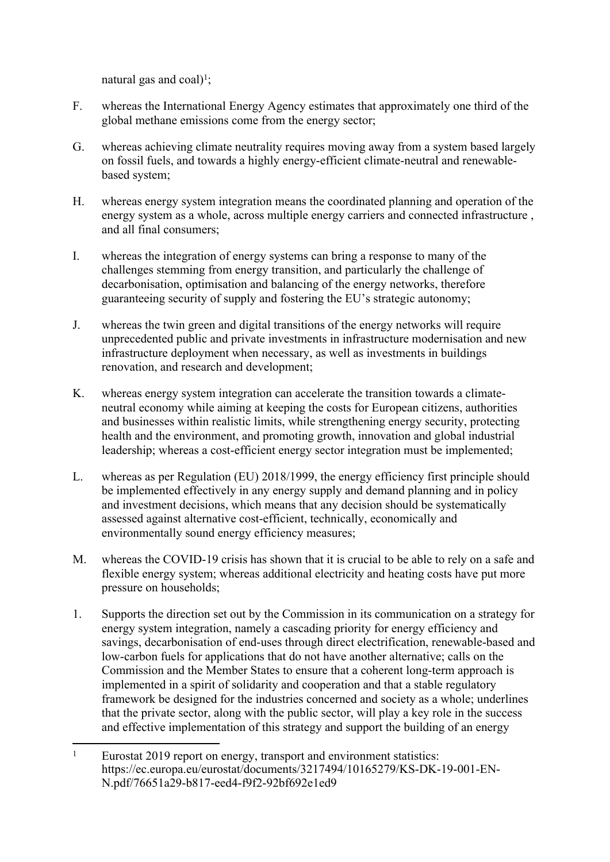natural gas and coal)<sup>1</sup>;

- F. whereas the International Energy Agency estimates that approximately one third of the global methane emissions come from the energy sector;
- G. whereas achieving climate neutrality requires moving away from a system based largely on fossil fuels, and towards a highly energy-efficient climate-neutral and renewablebased system;
- H. whereas energy system integration means the coordinated planning and operation of the energy system as a whole, across multiple energy carriers and connected infrastructure , and all final consumers;
- I. whereas the integration of energy systems can bring a response to many of the challenges stemming from energy transition, and particularly the challenge of decarbonisation, optimisation and balancing of the energy networks, therefore guaranteeing security of supply and fostering the EU's strategic autonomy;
- J. whereas the twin green and digital transitions of the energy networks will require unprecedented public and private investments in infrastructure modernisation and new infrastructure deployment when necessary, as well as investments in buildings renovation, and research and development;
- K. whereas energy system integration can accelerate the transition towards a climateneutral economy while aiming at keeping the costs for European citizens, authorities and businesses within realistic limits, while strengthening energy security, protecting health and the environment, and promoting growth, innovation and global industrial leadership; whereas a cost-efficient energy sector integration must be implemented;
- L. whereas as per Regulation (EU) 2018/1999, the energy efficiency first principle should be implemented effectively in any energy supply and demand planning and in policy and investment decisions, which means that any decision should be systematically assessed against alternative cost-efficient, technically, economically and environmentally sound energy efficiency measures;
- M. whereas the COVID-19 crisis has shown that it is crucial to be able to rely on a safe and flexible energy system; whereas additional electricity and heating costs have put more pressure on households;
- 1. Supports the direction set out by the Commission in its communication on a strategy for energy system integration, namely a cascading priority for energy efficiency and savings, decarbonisation of end-uses through direct electrification, renewable-based and low-carbon fuels for applications that do not have another alternative; calls on the Commission and the Member States to ensure that a coherent long-term approach is implemented in a spirit of solidarity and cooperation and that a stable regulatory framework be designed for the industries concerned and society as a whole; underlines that the private sector, along with the public sector, will play a key role in the success and effective implementation of this strategy and support the building of an energy

<sup>1</sup> Eurostat 2019 report on energy, transport and environment statistics: https://ec.europa.eu/eurostat/documents/3217494/10165279/KS-DK-19-001-EN-N.pdf/76651a29-b817-eed4-f9f2-92bf692e1ed9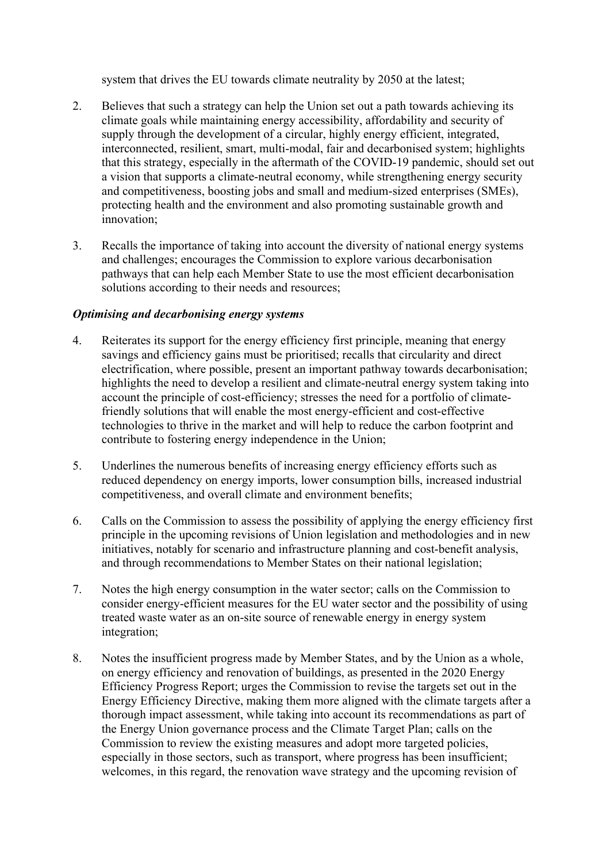system that drives the EU towards climate neutrality by 2050 at the latest;

- 2. Believes that such a strategy can help the Union set out a path towards achieving its climate goals while maintaining energy accessibility, affordability and security of supply through the development of a circular, highly energy efficient, integrated, interconnected, resilient, smart, multi-modal, fair and decarbonised system; highlights that this strategy, especially in the aftermath of the COVID-19 pandemic, should set out a vision that supports a climate-neutral economy, while strengthening energy security and competitiveness, boosting jobs and small and medium-sized enterprises (SMEs), protecting health and the environment and also promoting sustainable growth and innovation;
- 3. Recalls the importance of taking into account the diversity of national energy systems and challenges; encourages the Commission to explore various decarbonisation pathways that can help each Member State to use the most efficient decarbonisation solutions according to their needs and resources;

#### *Optimising and decarbonising energy systems*

- 4. Reiterates its support for the energy efficiency first principle, meaning that energy savings and efficiency gains must be prioritised; recalls that circularity and direct electrification, where possible, present an important pathway towards decarbonisation; highlights the need to develop a resilient and climate-neutral energy system taking into account the principle of cost-efficiency; stresses the need for a portfolio of climatefriendly solutions that will enable the most energy-efficient and cost-effective technologies to thrive in the market and will help to reduce the carbon footprint and contribute to fostering energy independence in the Union;
- 5. Underlines the numerous benefits of increasing energy efficiency efforts such as reduced dependency on energy imports, lower consumption bills, increased industrial competitiveness, and overall climate and environment benefits;
- 6. Calls on the Commission to assess the possibility of applying the energy efficiency first principle in the upcoming revisions of Union legislation and methodologies and in new initiatives, notably for scenario and infrastructure planning and cost-benefit analysis, and through recommendations to Member States on their national legislation;
- 7. Notes the high energy consumption in the water sector; calls on the Commission to consider energy-efficient measures for the EU water sector and the possibility of using treated waste water as an on-site source of renewable energy in energy system integration;
- 8. Notes the insufficient progress made by Member States, and by the Union as a whole, on energy efficiency and renovation of buildings, as presented in the 2020 Energy Efficiency Progress Report; urges the Commission to revise the targets set out in the Energy Efficiency Directive, making them more aligned with the climate targets after a thorough impact assessment, while taking into account its recommendations as part of the Energy Union governance process and the Climate Target Plan; calls on the Commission to review the existing measures and adopt more targeted policies, especially in those sectors, such as transport, where progress has been insufficient; welcomes, in this regard, the renovation wave strategy and the upcoming revision of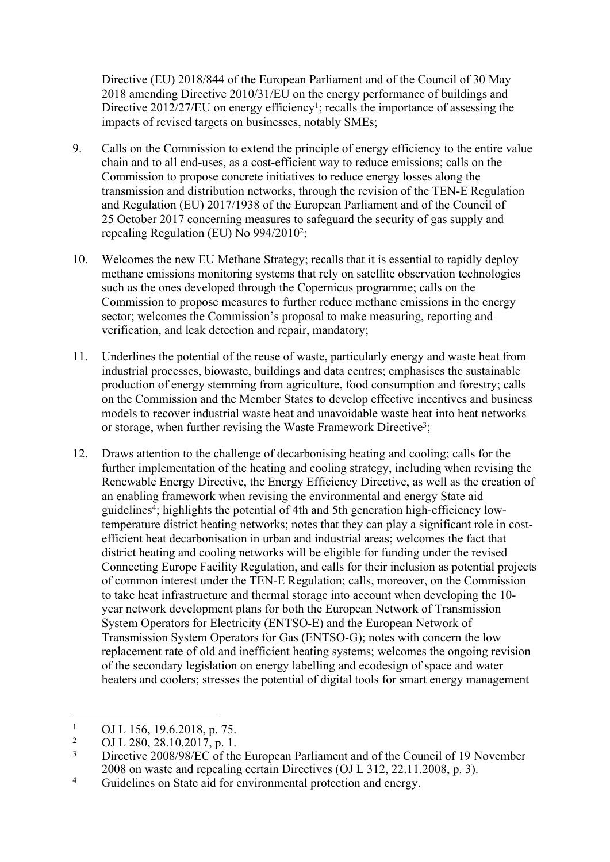Directive (EU) 2018/844 of the European Parliament and of the Council of 30 May 2018 amending Directive 2010/31/EU on the energy performance of buildings and Directive 2012/27/EU on energy efficiency<sup>1</sup>; recalls the importance of assessing the impacts of revised targets on businesses, notably SMEs;

- 9. Calls on the Commission to extend the principle of energy efficiency to the entire value chain and to all end-uses, as a cost-efficient way to reduce emissions; calls on the Commission to propose concrete initiatives to reduce energy losses along the transmission and distribution networks, through the revision of the TEN-E Regulation and Regulation (EU) 2017/1938 of the European Parliament and of the Council of 25 October 2017 concerning measures to safeguard the security of gas supply and repealing Regulation (EU) No 994/2010<sup>2</sup>;
- 10. Welcomes the new EU Methane Strategy; recalls that it is essential to rapidly deploy methane emissions monitoring systems that rely on satellite observation technologies such as the ones developed through the Copernicus programme; calls on the Commission to propose measures to further reduce methane emissions in the energy sector; welcomes the Commission's proposal to make measuring, reporting and verification, and leak detection and repair, mandatory;
- 11. Underlines the potential of the reuse of waste, particularly energy and waste heat from industrial processes, biowaste, buildings and data centres; emphasises the sustainable production of energy stemming from agriculture, food consumption and forestry; calls on the Commission and the Member States to develop effective incentives and business models to recover industrial waste heat and unavoidable waste heat into heat networks or storage, when further revising the Waste Framework Directive<sup>3</sup>;
- 12. Draws attention to the challenge of decarbonising heating and cooling; calls for the further implementation of the heating and cooling strategy, including when revising the Renewable Energy Directive, the Energy Efficiency Directive, as well as the creation of an enabling framework when revising the environmental and energy State aid guidelines<sup>4</sup>; highlights the potential of 4th and 5th generation high-efficiency lowtemperature district heating networks; notes that they can play a significant role in costefficient heat decarbonisation in urban and industrial areas; welcomes the fact that district heating and cooling networks will be eligible for funding under the revised Connecting Europe Facility Regulation, and calls for their inclusion as potential projects of common interest under the TEN-E Regulation; calls, moreover, on the Commission to take heat infrastructure and thermal storage into account when developing the 10 year network development plans for both the European Network of Transmission System Operators for Electricity (ENTSO-E) and the European Network of Transmission System Operators for Gas (ENTSO-G); notes with concern the low replacement rate of old and inefficient heating systems; welcomes the ongoing revision of the secondary legislation on energy labelling and ecodesign of space and water heaters and coolers; stresses the potential of digital tools for smart energy management

<sup>1</sup> OJ L 156, 19.6.2018, p. 75.

 $\overline{2}$ OJ L 280, 28.10.2017, p. 1.

<sup>3</sup> Directive 2008/98/EC of the European Parliament and of the Council of 19 November 2008 on waste and repealing certain Directives (OJ L 312, 22.11.2008, p. 3).

<sup>4</sup> Guidelines on State aid for environmental protection and energy.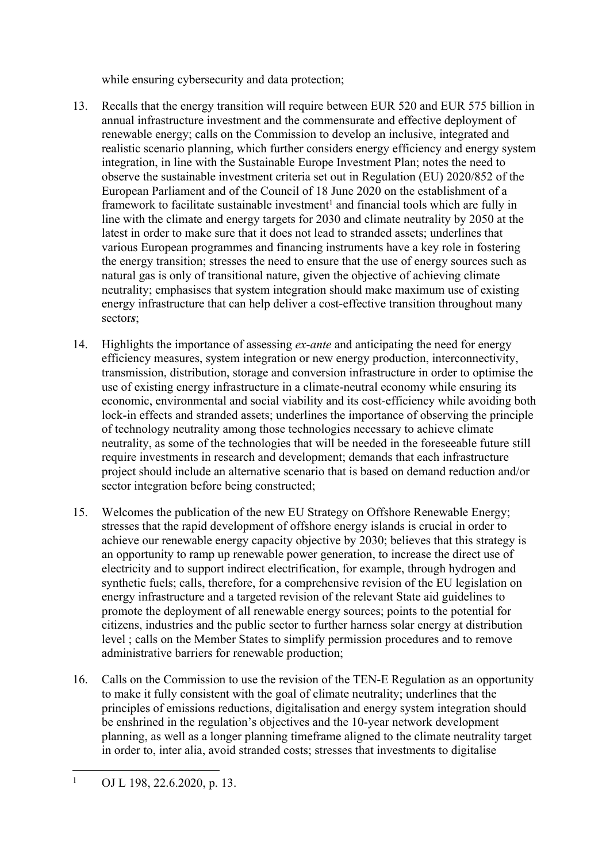while ensuring cybersecurity and data protection;

- 13. Recalls that the energy transition will require between EUR 520 and EUR 575 billion in annual infrastructure investment and the commensurate and effective deployment of renewable energy; calls on the Commission to develop an inclusive, integrated and realistic scenario planning, which further considers energy efficiency and energy system integration, in line with the Sustainable Europe Investment Plan; notes the need to observe the sustainable investment criteria set out in Regulation (EU) 2020/852 of the European Parliament and of the Council of 18 June 2020 on the establishment of a framework to facilitate sustainable investment<sup>1</sup> and financial tools which are fully in line with the climate and energy targets for 2030 and climate neutrality by 2050 at the latest in order to make sure that it does not lead to stranded assets; underlines that various European programmes and financing instruments have a key role in fostering the energy transition; stresses the need to ensure that the use of energy sources such as natural gas is only of transitional nature, given the objective of achieving climate neutrality; emphasises that system integration should make maximum use of existing energy infrastructure that can help deliver a cost-effective transition throughout many sector*s*;
- 14. Highlights the importance of assessing *ex-ante* and anticipating the need for energy efficiency measures, system integration or new energy production, interconnectivity, transmission, distribution, storage and conversion infrastructure in order to optimise the use of existing energy infrastructure in a climate-neutral economy while ensuring its economic, environmental and social viability and its cost-efficiency while avoiding both lock-in effects and stranded assets; underlines the importance of observing the principle of technology neutrality among those technologies necessary to achieve climate neutrality, as some of the technologies that will be needed in the foreseeable future still require investments in research and development; demands that each infrastructure project should include an alternative scenario that is based on demand reduction and/or sector integration before being constructed;
- 15. Welcomes the publication of the new EU Strategy on Offshore Renewable Energy; stresses that the rapid development of offshore energy islands is crucial in order to achieve our renewable energy capacity objective by 2030; believes that this strategy is an opportunity to ramp up renewable power generation, to increase the direct use of electricity and to support indirect electrification, for example, through hydrogen and synthetic fuels; calls, therefore, for a comprehensive revision of the EU legislation on energy infrastructure and a targeted revision of the relevant State aid guidelines to promote the deployment of all renewable energy sources; points to the potential for citizens, industries and the public sector to further harness solar energy at distribution level ; calls on the Member States to simplify permission procedures and to remove administrative barriers for renewable production;
- 16. Calls on the Commission to use the revision of the TEN-E Regulation as an opportunity to make it fully consistent with the goal of climate neutrality; underlines that the principles of emissions reductions, digitalisation and energy system integration should be enshrined in the regulation's objectives and the 10-year network development planning, as well as a longer planning timeframe aligned to the climate neutrality target in order to, inter alia, avoid stranded costs; stresses that investments to digitalise

<sup>1</sup> OJ L 198, 22.6.2020, p. 13.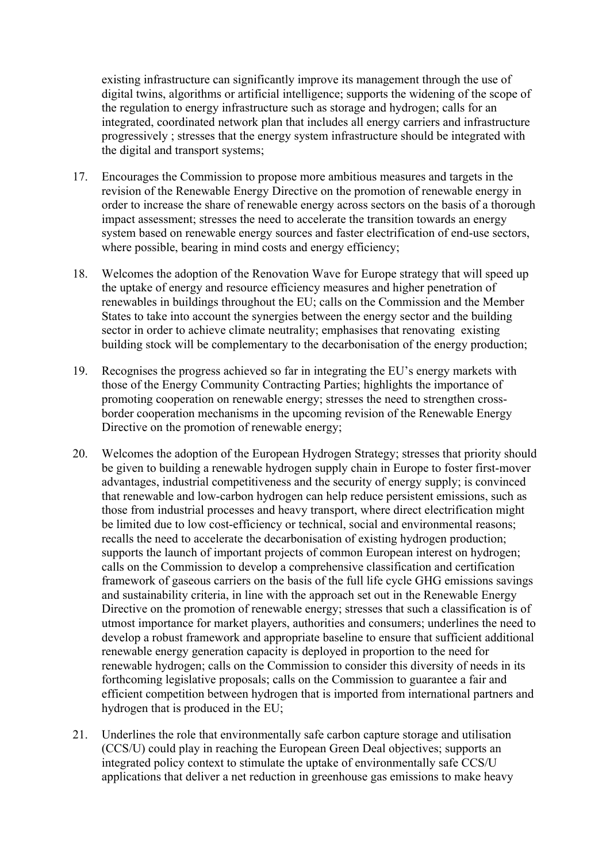existing infrastructure can significantly improve its management through the use of digital twins, algorithms or artificial intelligence; supports the widening of the scope of the regulation to energy infrastructure such as storage and hydrogen; calls for an integrated, coordinated network plan that includes all energy carriers and infrastructure progressively ; stresses that the energy system infrastructure should be integrated with the digital and transport systems;

- 17. Encourages the Commission to propose more ambitious measures and targets in the revision of the Renewable Energy Directive on the promotion of renewable energy in order to increase the share of renewable energy across sectors on the basis of a thorough impact assessment; stresses the need to accelerate the transition towards an energy system based on renewable energy sources and faster electrification of end-use sectors, where possible, bearing in mind costs and energy efficiency;
- 18. Welcomes the adoption of the Renovation Wave for Europe strategy that will speed up the uptake of energy and resource efficiency measures and higher penetration of renewables in buildings throughout the EU; calls on the Commission and the Member States to take into account the synergies between the energy sector and the building sector in order to achieve climate neutrality; emphasises that renovating existing building stock will be complementary to the decarbonisation of the energy production;
- 19. Recognises the progress achieved so far in integrating the EU's energy markets with those of the Energy Community Contracting Parties; highlights the importance of promoting cooperation on renewable energy; stresses the need to strengthen crossborder cooperation mechanisms in the upcoming revision of the Renewable Energy Directive on the promotion of renewable energy;
- 20. Welcomes the adoption of the European Hydrogen Strategy; stresses that priority should be given to building a renewable hydrogen supply chain in Europe to foster first-mover advantages, industrial competitiveness and the security of energy supply; is convinced that renewable and low-carbon hydrogen can help reduce persistent emissions, such as those from industrial processes and heavy transport, where direct electrification might be limited due to low cost-efficiency or technical, social and environmental reasons; recalls the need to accelerate the decarbonisation of existing hydrogen production; supports the launch of important projects of common European interest on hydrogen; calls on the Commission to develop a comprehensive classification and certification framework of gaseous carriers on the basis of the full life cycle GHG emissions savings and sustainability criteria, in line with the approach set out in the Renewable Energy Directive on the promotion of renewable energy; stresses that such a classification is of utmost importance for market players, authorities and consumers; underlines the need to develop a robust framework and appropriate baseline to ensure that sufficient additional renewable energy generation capacity is deployed in proportion to the need for renewable hydrogen; calls on the Commission to consider this diversity of needs in its forthcoming legislative proposals; calls on the Commission to guarantee a fair and efficient competition between hydrogen that is imported from international partners and hydrogen that is produced in the EU;
- 21. Underlines the role that environmentally safe carbon capture storage and utilisation (CCS/U) could play in reaching the European Green Deal objectives; supports an integrated policy context to stimulate the uptake of environmentally safe CCS/U applications that deliver a net reduction in greenhouse gas emissions to make heavy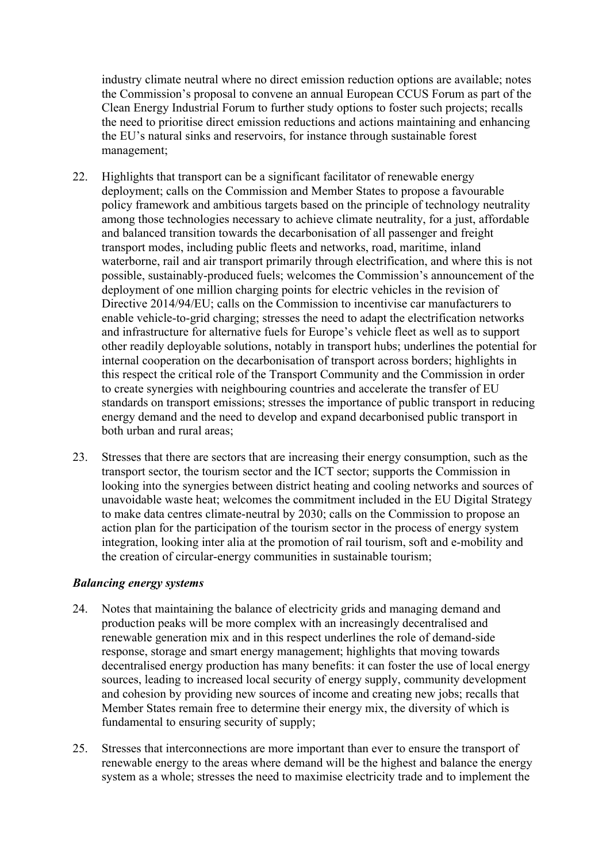industry climate neutral where no direct emission reduction options are available; notes the Commission's proposal to convene an annual European CCUS Forum as part of the Clean Energy Industrial Forum to further study options to foster such projects; recalls the need to prioritise direct emission reductions and actions maintaining and enhancing the EU's natural sinks and reservoirs, for instance through sustainable forest management;

- 22. Highlights that transport can be a significant facilitator of renewable energy deployment; calls on the Commission and Member States to propose a favourable policy framework and ambitious targets based on the principle of technology neutrality among those technologies necessary to achieve climate neutrality, for a just, affordable and balanced transition towards the decarbonisation of all passenger and freight transport modes, including public fleets and networks, road, maritime, inland waterborne, rail and air transport primarily through electrification, and where this is not possible, sustainably-produced fuels; welcomes the Commission's announcement of the deployment of one million charging points for electric vehicles in the revision of Directive 2014/94/EU; calls on the Commission to incentivise car manufacturers to enable vehicle-to-grid charging; stresses the need to adapt the electrification networks and infrastructure for alternative fuels for Europe's vehicle fleet as well as to support other readily deployable solutions, notably in transport hubs; underlines the potential for internal cooperation on the decarbonisation of transport across borders; highlights in this respect the critical role of the Transport Community and the Commission in order to create synergies with neighbouring countries and accelerate the transfer of EU standards on transport emissions; stresses the importance of public transport in reducing energy demand and the need to develop and expand decarbonised public transport in both urban and rural areas;
- 23. Stresses that there are sectors that are increasing their energy consumption, such as the transport sector, the tourism sector and the ICT sector; supports the Commission in looking into the synergies between district heating and cooling networks and sources of unavoidable waste heat; welcomes the commitment included in the EU Digital Strategy to make data centres climate-neutral by 2030; calls on the Commission to propose an action plan for the participation of the tourism sector in the process of energy system integration, looking inter alia at the promotion of rail tourism, soft and e-mobility and the creation of circular-energy communities in sustainable tourism;

#### *Balancing energy systems*

- 24. Notes that maintaining the balance of electricity grids and managing demand and production peaks will be more complex with an increasingly decentralised and renewable generation mix and in this respect underlines the role of demand-side response, storage and smart energy management; highlights that moving towards decentralised energy production has many benefits: it can foster the use of local energy sources, leading to increased local security of energy supply, community development and cohesion by providing new sources of income and creating new jobs; recalls that Member States remain free to determine their energy mix, the diversity of which is fundamental to ensuring security of supply;
- 25. Stresses that interconnections are more important than ever to ensure the transport of renewable energy to the areas where demand will be the highest and balance the energy system as a whole; stresses the need to maximise electricity trade and to implement the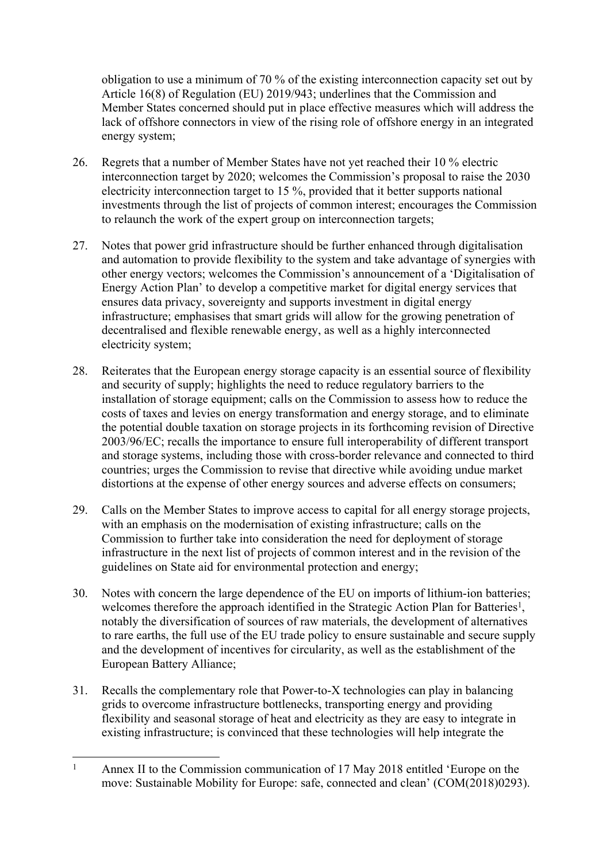obligation to use a minimum of 70 % of the existing interconnection capacity set out by Article 16(8) of Regulation (EU) 2019/943; underlines that the Commission and Member States concerned should put in place effective measures which will address the lack of offshore connectors in view of the rising role of offshore energy in an integrated energy system;

- 26. Regrets that a number of Member States have not yet reached their 10 % electric interconnection target by 2020; welcomes the Commission's proposal to raise the 2030 electricity interconnection target to 15 %, provided that it better supports national investments through the list of projects of common interest; encourages the Commission to relaunch the work of the expert group on interconnection targets;
- 27. Notes that power grid infrastructure should be further enhanced through digitalisation and automation to provide flexibility to the system and take advantage of synergies with other energy vectors; welcomes the Commission's announcement of a 'Digitalisation of Energy Action Plan' to develop a competitive market for digital energy services that ensures data privacy, sovereignty and supports investment in digital energy infrastructure; emphasises that smart grids will allow for the growing penetration of decentralised and flexible renewable energy, as well as a highly interconnected electricity system;
- 28. Reiterates that the European energy storage capacity is an essential source of flexibility and security of supply; highlights the need to reduce regulatory barriers to the installation of storage equipment; calls on the Commission to assess how to reduce the costs of taxes and levies on energy transformation and energy storage, and to eliminate the potential double taxation on storage projects in its forthcoming revision of Directive 2003/96/EC; recalls the importance to ensure full interoperability of different transport and storage systems, including those with cross-border relevance and connected to third countries; urges the Commission to revise that directive while avoiding undue market distortions at the expense of other energy sources and adverse effects on consumers;
- 29. Calls on the Member States to improve access to capital for all energy storage projects, with an emphasis on the modernisation of existing infrastructure; calls on the Commission to further take into consideration the need for deployment of storage infrastructure in the next list of projects of common interest and in the revision of the guidelines on State aid for environmental protection and energy;
- 30. Notes with concern the large dependence of the EU on imports of lithium-ion batteries; welcomes therefore the approach identified in the Strategic Action Plan for Batteries<sup>1</sup>, notably the diversification of sources of raw materials, the development of alternatives to rare earths, the full use of the EU trade policy to ensure sustainable and secure supply and the development of incentives for circularity, as well as the establishment of the European Battery Alliance;
- 31. Recalls the complementary role that Power-to-X technologies can play in balancing grids to overcome infrastructure bottlenecks, transporting energy and providing flexibility and seasonal storage of heat and electricity as they are easy to integrate in existing infrastructure; is convinced that these technologies will help integrate the

<sup>1</sup> Annex II to the Commission communication of 17 May 2018 entitled 'Europe on the move: Sustainable Mobility for Europe: safe, connected and clean' (COM(2018)0293).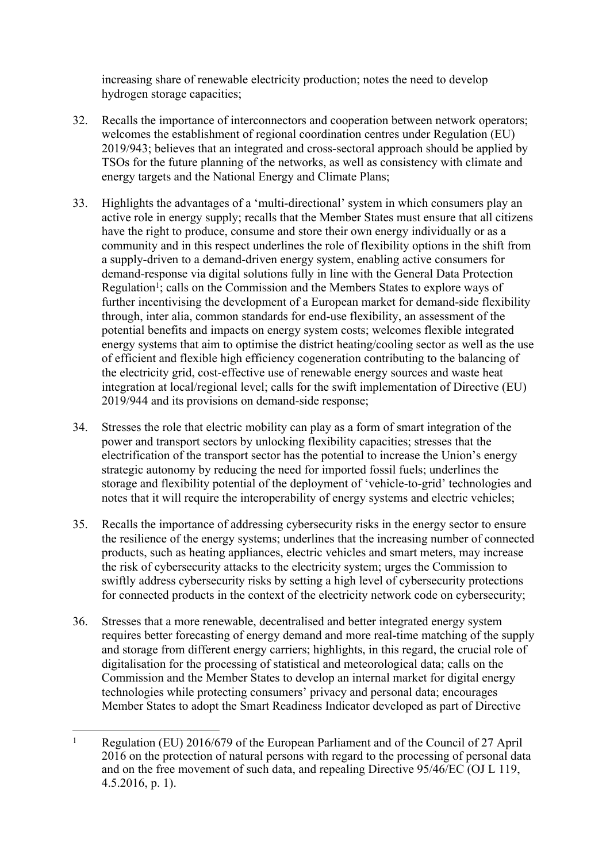increasing share of renewable electricity production; notes the need to develop hydrogen storage capacities;

- 32. Recalls the importance of interconnectors and cooperation between network operators; welcomes the establishment of regional coordination centres under Regulation (EU) 2019/943; believes that an integrated and cross-sectoral approach should be applied by TSOs for the future planning of the networks, as well as consistency with climate and energy targets and the National Energy and Climate Plans;
- 33. Highlights the advantages of a 'multi-directional' system in which consumers play an active role in energy supply; recalls that the Member States must ensure that all citizens have the right to produce, consume and store their own energy individually or as a community and in this respect underlines the role of flexibility options in the shift from a supply-driven to a demand-driven energy system, enabling active consumers for demand-response via digital solutions fully in line with the General Data Protection Regulation<sup>1</sup>; calls on the Commission and the Members States to explore ways of further incentivising the development of a European market for demand-side flexibility through, inter alia, common standards for end-use flexibility, an assessment of the potential benefits and impacts on energy system costs; welcomes flexible integrated energy systems that aim to optimise the district heating/cooling sector as well as the use of efficient and flexible high efficiency cogeneration contributing to the balancing of the electricity grid, cost-effective use of renewable energy sources and waste heat integration at local/regional level; calls for the swift implementation of Directive (EU) 2019/944 and its provisions on demand-side response;
- 34. Stresses the role that electric mobility can play as a form of smart integration of the power and transport sectors by unlocking flexibility capacities; stresses that the electrification of the transport sector has the potential to increase the Union's energy strategic autonomy by reducing the need for imported fossil fuels; underlines the storage and flexibility potential of the deployment of 'vehicle-to-grid' technologies and notes that it will require the interoperability of energy systems and electric vehicles;
- 35. Recalls the importance of addressing cybersecurity risks in the energy sector to ensure the resilience of the energy systems; underlines that the increasing number of connected products, such as heating appliances, electric vehicles and smart meters, may increase the risk of cybersecurity attacks to the electricity system; urges the Commission to swiftly address cybersecurity risks by setting a high level of cybersecurity protections for connected products in the context of the electricity network code on cybersecurity;
- 36. Stresses that a more renewable, decentralised and better integrated energy system requires better forecasting of energy demand and more real-time matching of the supply and storage from different energy carriers; highlights, in this regard, the crucial role of digitalisation for the processing of statistical and meteorological data; calls on the Commission and the Member States to develop an internal market for digital energy technologies while protecting consumers' privacy and personal data; encourages Member States to adopt the Smart Readiness Indicator developed as part of Directive

<sup>1</sup> Regulation (EU) 2016/679 of the European Parliament and of the Council of 27 April 2016 on the protection of natural persons with regard to the processing of personal data and on the free movement of such data, and repealing Directive 95/46/EC (OJ L 119, 4.5.2016, p. 1).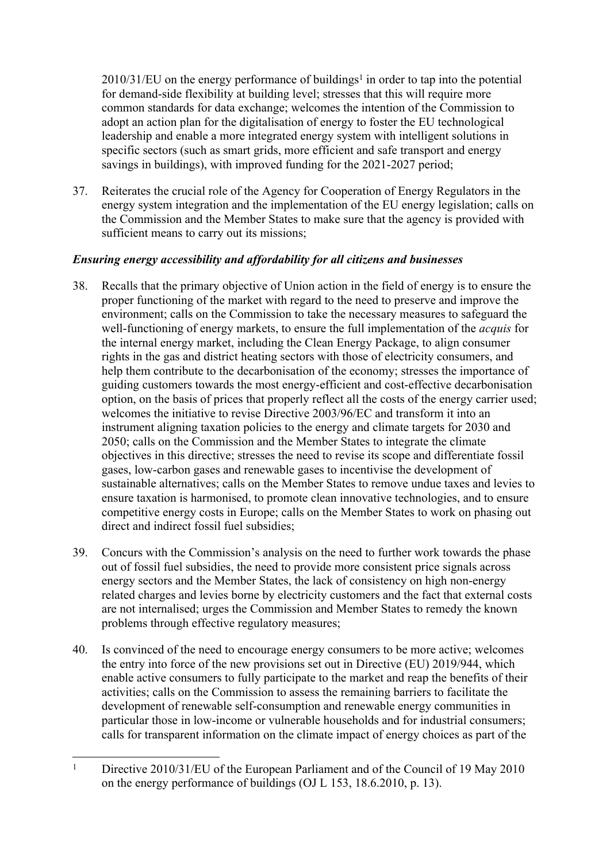$2010/31/EU$  on the energy performance of buildings<sup>1</sup> in order to tap into the potential for demand-side flexibility at building level; stresses that this will require more common standards for data exchange; welcomes the intention of the Commission to adopt an action plan for the digitalisation of energy to foster the EU technological leadership and enable a more integrated energy system with intelligent solutions in specific sectors (such as smart grids, more efficient and safe transport and energy savings in buildings), with improved funding for the 2021-2027 period;

37. Reiterates the crucial role of the Agency for Cooperation of Energy Regulators in the energy system integration and the implementation of the EU energy legislation; calls on the Commission and the Member States to make sure that the agency is provided with sufficient means to carry out its missions;

### *Ensuring energy accessibility and affordability for all citizens and businesses*

- 38. Recalls that the primary objective of Union action in the field of energy is to ensure the proper functioning of the market with regard to the need to preserve and improve the environment; calls on the Commission to take the necessary measures to safeguard the well-functioning of energy markets, to ensure the full implementation of the *acquis* for the internal energy market, including the Clean Energy Package, to align consumer rights in the gas and district heating sectors with those of electricity consumers, and help them contribute to the decarbonisation of the economy; stresses the importance of guiding customers towards the most energy-efficient and cost-effective decarbonisation option, on the basis of prices that properly reflect all the costs of the energy carrier used; welcomes the initiative to revise Directive 2003/96/EC and transform it into an instrument aligning taxation policies to the energy and climate targets for 2030 and 2050; calls on the Commission and the Member States to integrate the climate objectives in this directive; stresses the need to revise its scope and differentiate fossil gases, low-carbon gases and renewable gases to incentivise the development of sustainable alternatives; calls on the Member States to remove undue taxes and levies to ensure taxation is harmonised, to promote clean innovative technologies, and to ensure competitive energy costs in Europe; calls on the Member States to work on phasing out direct and indirect fossil fuel subsidies;
- 39. Concurs with the Commission's analysis on the need to further work towards the phase out of fossil fuel subsidies, the need to provide more consistent price signals across energy sectors and the Member States, the lack of consistency on high non-energy related charges and levies borne by electricity customers and the fact that external costs are not internalised; urges the Commission and Member States to remedy the known problems through effective regulatory measures;
- 40. Is convinced of the need to encourage energy consumers to be more active; welcomes the entry into force of the new provisions set out in Directive (EU) 2019/944, which enable active consumers to fully participate to the market and reap the benefits of their activities; calls on the Commission to assess the remaining barriers to facilitate the development of renewable self-consumption and renewable energy communities in particular those in low-income or vulnerable households and for industrial consumers; calls for transparent information on the climate impact of energy choices as part of the

<sup>1</sup> Directive 2010/31/EU of the European Parliament and of the Council of 19 May 2010 on the energy performance of buildings (OJ L 153, 18.6.2010, p. 13).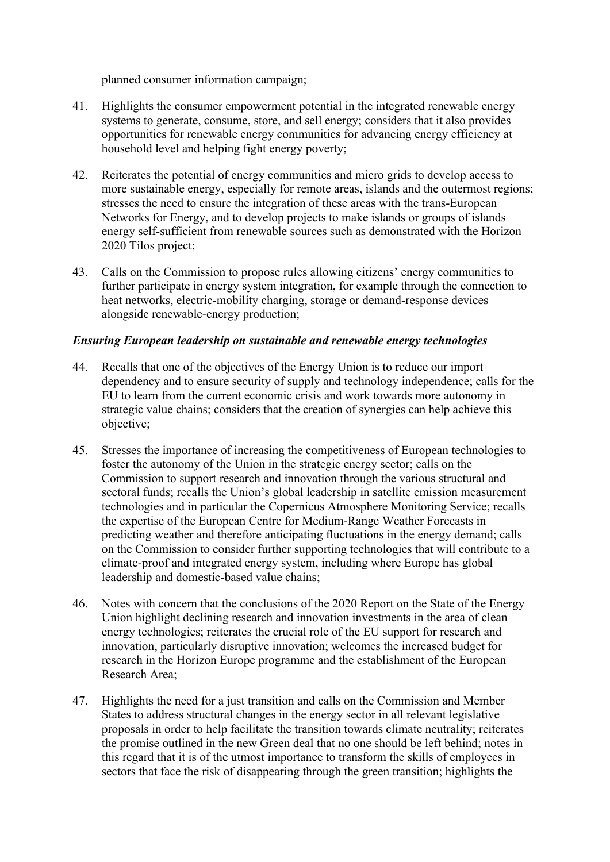planned consumer information campaign;

- 41. Highlights the consumer empowerment potential in the integrated renewable energy systems to generate, consume, store, and sell energy; considers that it also provides opportunities for renewable energy communities for advancing energy efficiency at household level and helping fight energy poverty;
- 42. Reiterates the potential of energy communities and micro grids to develop access to more sustainable energy, especially for remote areas, islands and the outermost regions; stresses the need to ensure the integration of these areas with the trans-European Networks for Energy, and to develop projects to make islands or groups of islands energy self-sufficient from renewable sources such as demonstrated with the Horizon 2020 Tilos project;
- 43. Calls on the Commission to propose rules allowing citizens' energy communities to further participate in energy system integration, for example through the connection to heat networks, electric-mobility charging, storage or demand-response devices alongside renewable-energy production;

#### *Ensuring European leadership on sustainable and renewable energy technologies*

- 44. Recalls that one of the objectives of the Energy Union is to reduce our import dependency and to ensure security of supply and technology independence; calls for the EU to learn from the current economic crisis and work towards more autonomy in strategic value chains; considers that the creation of synergies can help achieve this objective;
- 45. Stresses the importance of increasing the competitiveness of European technologies to foster the autonomy of the Union in the strategic energy sector; calls on the Commission to support research and innovation through the various structural and sectoral funds; recalls the Union's global leadership in satellite emission measurement technologies and in particular the Copernicus Atmosphere Monitoring Service; recalls the expertise of the European Centre for Medium-Range Weather Forecasts in predicting weather and therefore anticipating fluctuations in the energy demand; calls on the Commission to consider further supporting technologies that will contribute to a climate-proof and integrated energy system, including where Europe has global leadership and domestic-based value chains;
- 46. Notes with concern that the conclusions of the 2020 Report on the State of the Energy Union highlight declining research and innovation investments in the area of clean energy technologies; reiterates the crucial role of the EU support for research and innovation, particularly disruptive innovation; welcomes the increased budget for research in the Horizon Europe programme and the establishment of the European Research Area;
- 47. Highlights the need for a just transition and calls on the Commission and Member States to address structural changes in the energy sector in all relevant legislative proposals in order to help facilitate the transition towards climate neutrality; reiterates the promise outlined in the new Green deal that no one should be left behind; notes in this regard that it is of the utmost importance to transform the skills of employees in sectors that face the risk of disappearing through the green transition; highlights the